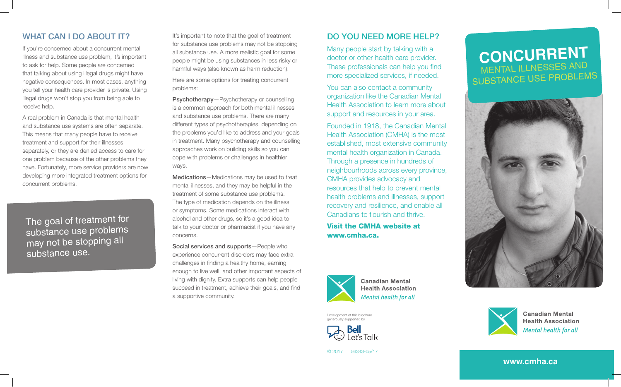## WHAT CAN I DO ABOUT IT?

If you're concerned about a concurrent mental illness and substance use problem, it's important to ask for help. Some people are concerned that talking about using illegal drugs might have negative consequences. In most cases, anything you tell your health care provider is private. Using illegal drugs won't stop you from being able to receive help.

A real problem in Canada is that mental health and substance use systems are often separate. This means that many people have to receive treatment and support for their illnesses separately, or they are denied access to care for one problem because of the other problems they have. Fortunately, more service providers are now developing more integrated treatment options for concurrent problems.

The goal of treatment for substance use problems may not be stopping all substance use.

It's important to note that the goal of treatment for substance use problems may not be stopping all substance use. A more realistic goal for some people might be using substances in less risky or harmful ways (also known as harm reduction).

Here are some options for treating concurrent problems:

Psychotherapy—Psychotherapy or counselling is a common approach for both mental illnesses and substance use problems. There are many different types of psychotherapies, depending on the problems you'd like to address and your goals in treatment. Many psychotherapy and counselling approaches work on building skills so you can cope with problems or challenges in healthier ways.

Medications—Medications may be used to treat mental illnesses, and they may be helpful in the treatment of some substance use problems. The type of medication depends on the illness or symptoms. Some medications interact with alcohol and other drugs, so it's a good idea to talk to your doctor or pharmacist if you have any concerns.

Social services and supports—People who experience concurrent disorders may face extra challenges in finding a healthy home, earning enough to live well, and other important aspects of living with dignity. Extra supports can help people succeed in treatment, achieve their goals, and find a supportive community.

## Do you need more help?

Many people start by talking with a doctor or other health care provider. These professionals can help you find more specialized services, if needed.

You can also contact a community organization like the Canadian Mental Health Association to learn more about support and resources in your area.

Founded in 1918, the Canadian Mental Health Association (CMHA) is the most established, most extensive community mental health organization in Canada. Through a presence in hundreds of neighbourhoods across every province, CMHA provides advocacy and resources that help to prevent mental health problems and illnesses, support recovery and resilience, and enable all Canadians to flourish and thrive.

Visit the CMHA website at www.cmha.ca.



**Canadian Mental Health Association** Mental health for all

Development of this brochure generously supported by



© 2017 56343-05/17

# **Concurrent** mental illnesses and substance use problems





**Canadian Mental Health Association Mental health for all** 

**www.cmha.ca**